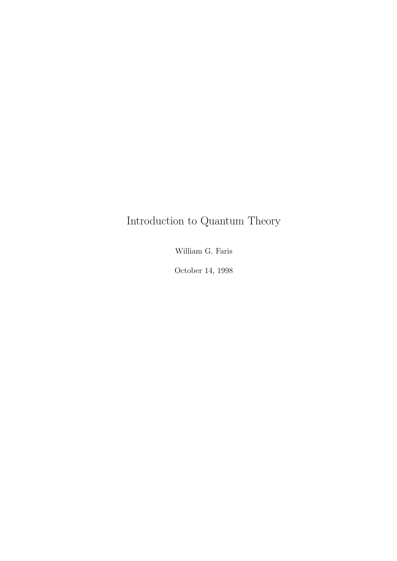## Introduction to Quantum Theory

William G. Faris

October 14, 1998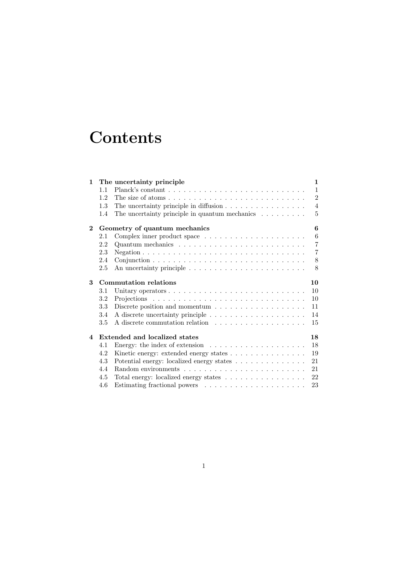## **Contents**

| $\mathbf{1}$ |                                     | The uncertainty principle                                                             | 1              |
|--------------|-------------------------------------|---------------------------------------------------------------------------------------|----------------|
|              | 1.1                                 |                                                                                       | $\mathbf{1}$   |
|              | 1.2                                 | The size of atoms $\dots \dots \dots \dots \dots \dots \dots \dots \dots \dots \dots$ | $\overline{2}$ |
|              | 1.3                                 | The uncertainty principle in diffusion $\ldots \ldots \ldots \ldots \ldots$           | $\overline{4}$ |
|              | 1.4                                 | The uncertainty principle in quantum mechanics $\dots \dots$                          | 5              |
| $\mathbf{2}$ | Geometry of quantum mechanics       |                                                                                       |                |
|              | 2.1                                 |                                                                                       | 6              |
|              | 2.2                                 |                                                                                       | $\overline{7}$ |
|              | 2.3                                 |                                                                                       | $\overline{7}$ |
|              | 2.4                                 |                                                                                       | 8              |
|              | 2.5                                 |                                                                                       | 8              |
| 3            | <b>Commutation relations</b>        |                                                                                       |                |
|              | 3.1                                 |                                                                                       | 10             |
|              | 3.2                                 |                                                                                       | 10             |
|              | $3.3\,$                             | Discrete position and momentum $\dots \dots \dots \dots \dots \dots$                  | 11             |
|              | 3.4                                 |                                                                                       | 14             |
|              | 3.5                                 |                                                                                       | 15             |
| 4            | Extended and localized states<br>18 |                                                                                       |                |
|              | 4.1                                 |                                                                                       | 18             |
|              | 4.2                                 |                                                                                       | 19             |
|              | 4.3                                 | Potential energy: localized energy states $\ldots \ldots \ldots \ldots \ldots$        | 21             |
|              | 4.4                                 |                                                                                       | 21             |
|              | 4.5                                 | Total energy: localized energy states                                                 | 22             |
|              | 4.6                                 |                                                                                       | 23             |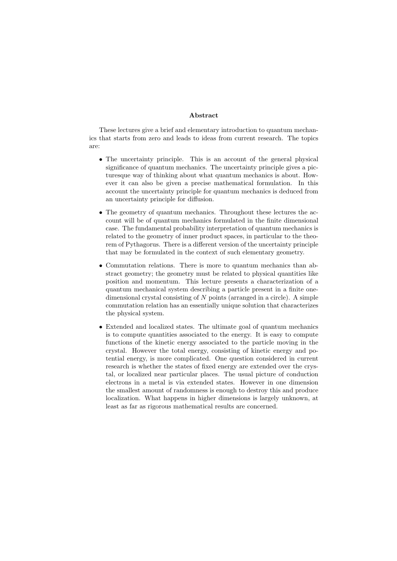#### Abstract

These lectures give a brief and elementary introduction to quantum mechanics that starts from zero and leads to ideas from current research. The topics are:

- The uncertainty principle. This is an account of the general physical significance of quantum mechanics. The uncertainty principle gives a picturesque way of thinking about what quantum mechanics is about. However it can also be given a precise mathematical formulation. In this account the uncertainty principle for quantum mechanics is deduced from an uncertainty principle for diffusion.
- The geometry of quantum mechanics. Throughout these lectures the account will be of quantum mechanics formulated in the finite dimensional case. The fundamental probability interpretation of quantum mechanics is related to the geometry of inner product spaces, in particular to the theorem of Pythagorus. There is a different version of the uncertainty principle that may be formulated in the context of such elementary geometry.
- Commutation relations. There is more to quantum mechanics than abstract geometry; the geometry must be related to physical quantities like position and momentum. This lecture presents a characterization of a quantum mechanical system describing a particle present in a finite onedimensional crystal consisting of  $N$  points (arranged in a circle). A simple commutation relation has an essentially unique solution that characterizes the physical system.
- Extended and localized states. The ultimate goal of quantum mechanics is to compute quantities associated to the energy. It is easy to compute functions of the kinetic energy associated to the particle moving in the crystal. However the total energy, consisting of kinetic energy and potential energy, is more complicated. One question considered in current research is whether the states of fixed energy are extended over the crystal, or localized near particular places. The usual picture of conduction electrons in a metal is via extended states. However in one dimension the smallest amount of randomness is enough to destroy this and produce localization. What happens in higher dimensions is largely unknown, at least as far as rigorous mathematical results are concerned.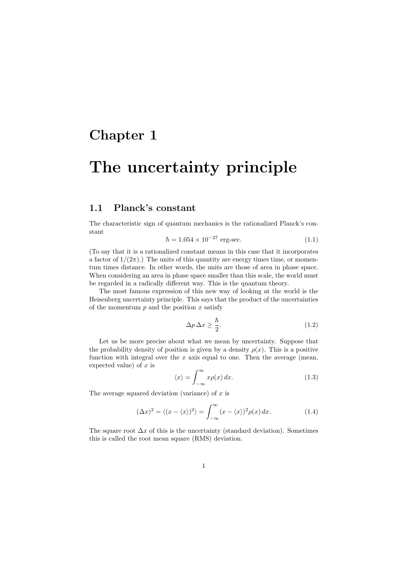### Chapter 1

## The uncertainty principle

### 1.1 Planck's constant

The characteristic sign of quantum mechanics is the rationalized Planck's constant

$$
\hbar = 1.054 \times 10^{-27} \text{ erg-sec.} \tag{1.1}
$$

(To say that it is a rationalized constant means in this case that it incorporates a factor of  $1/(2\pi)$ .) The units of this quantity are energy times time, or momentum times distance. In other words, the units are those of area in phase space. When considering an area in phase space smaller than this scale, the world must be regarded in a radically different way. This is the quantum theory.

The most famous expression of this new way of looking at the world is the Heisenberg uncertainty principle. This says that the product of the uncertainties of the momentum  $p$  and the position  $x$  satisfy

$$
\Delta p \,\Delta x \ge \frac{\hbar}{2}.\tag{1.2}
$$

Let us be more precise about what we mean by uncertainty. Suppose that the probability density of position is given by a density  $\rho(x)$ . This is a positive function with integral over the  $x$  axis equal to one. Then the average (mean, expected value) of  $x$  is

$$
\langle x \rangle = \int_{-\infty}^{\infty} x \rho(x) \, dx. \tag{1.3}
$$

The average squared deviation (variance) of  $x$  is

$$
(\Delta x)^2 = \langle (x - \langle x \rangle)^2 \rangle = \int_{-\infty}^{\infty} (x - \langle x \rangle)^2 \rho(x) dx.
$$
 (1.4)

The square root  $\Delta x$  of this is the uncertainty (standard deviation). Sometimes this is called the root mean square (RMS) deviation.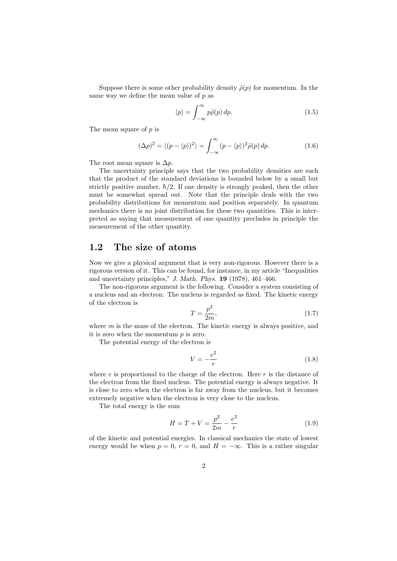Suppose there is some other probability density  $\tilde{\rho}(p)$  for momentum. In the same way we define the mean value of  $p$  as

$$
\langle p \rangle = \int_{-\infty}^{\infty} p\tilde{\rho}(p) dp.
$$
 (1.5)

The mean square of  $p$  is

$$
(\Delta p)^2 = \langle (p - \langle p \rangle)^2 \rangle = \int_{-\infty}^{\infty} (p - \langle p \rangle)^2 \tilde{\rho}(p) \, dp. \tag{1.6}
$$

The root mean square is  $\Delta p$ .

The uncertainty principle says that the two probability densities are such that the product of the standard deviations is bounded below by a small but strictly positive number,  $\hbar/2$ . If one density is strongly peaked, then the other must be somewhat spread out. Note that the principle deals with the two probability distributions for momentum and position separately. In quantum mechanics there is no joint distribution for these two quantities. This is interpreted as saying that measurement of one quantity precludes in principle the measurement of the other quantity.

### 1.2 The size of atoms

Now we give a physical argument that is very non-rigorous. However there is a rigorous version of it. This can be found, for instance, in my article "Inequalities and uncertainty principles," J. Math. Phys. 19 (1978), 461–466.

The non-rigorous argument is the following. Consider a system consisting of a nucleus and an electron. The nucleus is regarded as fixed. The kinetic energy of the electron is

$$
T = \frac{p^2}{2m},\tag{1.7}
$$

where  $m$  is the mass of the electron. The kinetic energy is always positive, and it is zero when the momentum  $p$  is zero.

The potential energy of the electron is

$$
V = -\frac{e^2}{r} \tag{1.8}
$$

where  $e$  is proportional to the charge of the electron. Here  $r$  is the distance of the electron from the fixed nucleus. The potential energy is always negative. It is close to zero when the electron is far away from the nucleus, but it becomes extremely negative when the electron is very close to the nucleus.

The total energy is the sum

$$
H = T + V = \frac{p^2}{2m} - \frac{e^2}{r}
$$
 (1.9)

of the kinetic and potential energies. In classical mechanics the state of lowest energy would be when  $p = 0$ ,  $r = 0$ , and  $H = -\infty$ . This is a rather singular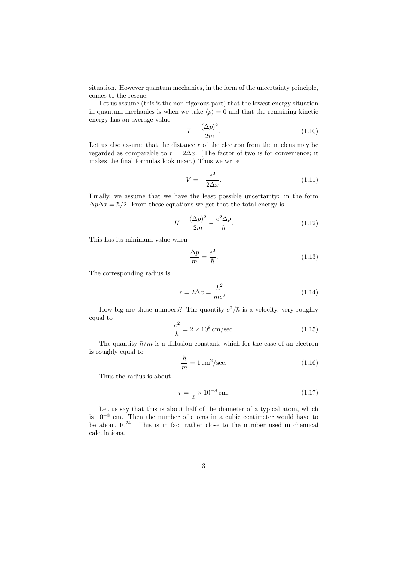situation. However quantum mechanics, in the form of the uncertainty principle, comes to the rescue.

Let us assume (this is the non-rigorous part) that the lowest energy situation in quantum mechanics is when we take  $\langle p \rangle = 0$  and that the remaining kinetic energy has an average value

$$
T = \frac{(\Delta p)^2}{2m}.\tag{1.10}
$$

Let us also assume that the distance  $r$  of the electron from the nucleus may be regarded as comparable to  $r = 2\Delta x$ . (The factor of two is for convenience; it makes the final formulas look nicer.) Thus we write

$$
V = -\frac{e^2}{2\Delta x}.\tag{1.11}
$$

Finally, we assume that we have the least possible uncertainty: in the form  $\Delta p \Delta x = \hbar/2$ . From these equations we get that the total energy is

$$
H = \frac{(\Delta p)^2}{2m} - \frac{e^2 \Delta p}{\hbar}.
$$
\n(1.12)

This has its minimum value when

$$
\frac{\Delta p}{m} = \frac{e^2}{\hbar}.\tag{1.13}
$$

The corresponding radius is

$$
r = 2\Delta x = \frac{\hbar^2}{me^2}.
$$
\n(1.14)

How big are these numbers? The quantity  $e^2/\hbar$  is a velocity, very roughly equal to

$$
\frac{e^2}{\hbar} = 2 \times 10^8 \,\text{cm/sec.} \tag{1.15}
$$

The quantity  $\hbar/m$  is a diffusion constant, which for the case of an electron is roughly equal to

$$
\frac{\hbar}{m} = 1 \,\text{cm}^2/\text{sec.} \tag{1.16}
$$

Thus the radius is about

$$
r = \frac{1}{2} \times 10^{-8} \,\text{cm}.\tag{1.17}
$$

Let us say that this is about half of the diameter of a typical atom, which is 10<sup>−</sup><sup>8</sup> cm. Then the number of atoms in a cubic centimeter would have to be about  $10^{24}$ . This is in fact rather close to the number used in chemical calculations.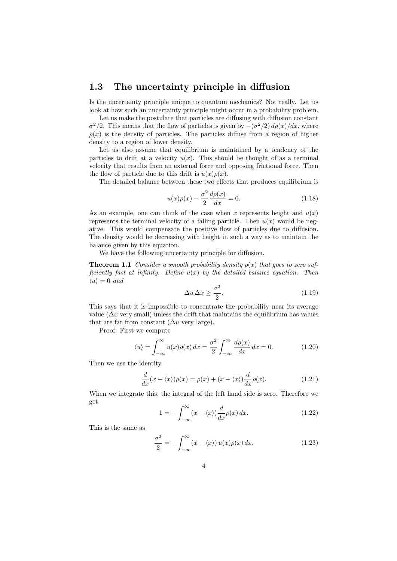### 1.3 The uncertainty principle in diffusion

Is the uncertainty principle unique to quantum mechanics? Not really. Let us look at how such an uncertainty principle might occur in a probability problem.

Let us make the postulate that particles are diffusing with diffusion constant  $\sigma^2/2$ . This means that the flow of particles is given by  $-(\sigma^2/2) d\rho(x)/dx$ , where  $\rho(x)$  is the density of particles. The particles diffuse from a region of higher density to a region of lower density.

Let us also assume that equilibrium is maintained by a tendency of the particles to drift at a velocity  $u(x)$ . This should be thought of as a terminal velocity that results from an external force and opposing frictional force. Then the flow of particle due to this drift is  $u(x)\rho(x)$ .

The detailed balance between these two effects that produces equilibrium is

$$
u(x)\rho(x) - \frac{\sigma^2}{2}\frac{d\rho(x)}{dx} = 0.
$$
 (1.18)

As an example, one can think of the case when x represents height and  $u(x)$ represents the terminal velocity of a falling particle. Then  $u(x)$  would be negative. This would compensate the positive flow of particles due to diffusion. The density would be decreasing with height in such a way as to maintain the balance given by this equation.

We have the following uncertainty principle for diffusion.

**Theorem 1.1** Consider a smooth probability density  $\rho(x)$  that goes to zero sufficiently fast at infinity. Define  $u(x)$  by the detailed balance equation. Then  $\langle u \rangle = 0$  and

$$
\Delta u \,\Delta x \ge \frac{\sigma^2}{2}.\tag{1.19}
$$

This says that it is impossible to concentrate the probability near its average value ( $\Delta x$  very small) unless the drift that maintains the equilibrium has values that are far from constant  $(\Delta u$  very large).

Proof: First we compute

$$
\langle u \rangle = \int_{-\infty}^{\infty} u(x)\rho(x) dx = \frac{\sigma^2}{2} \int_{-\infty}^{\infty} \frac{d\rho(x)}{dx} dx = 0.
$$
 (1.20)

Then we use the identity

$$
\frac{d}{dx}(x - \langle x \rangle)\rho(x) = \rho(x) + (x - \langle x \rangle)\frac{d}{dx}\rho(x).
$$
\n(1.21)

When we integrate this, the integral of the left hand side is zero. Therefore we get

$$
1 = -\int_{-\infty}^{\infty} (x - \langle x \rangle) \frac{d}{dx} \rho(x) dx.
$$
 (1.22)

This is the same as

$$
\frac{\sigma^2}{2} = -\int_{-\infty}^{\infty} (x - \langle x \rangle) u(x) \rho(x) dx.
$$
 (1.23)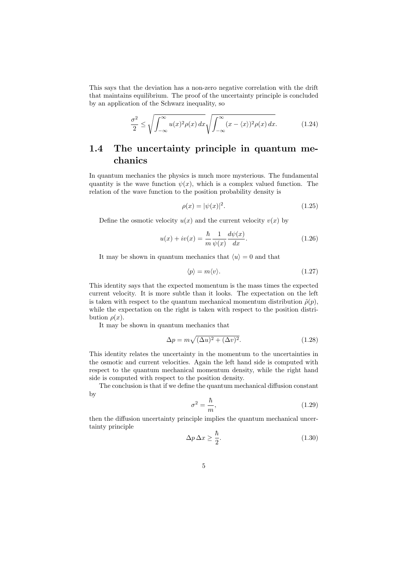This says that the deviation has a non-zero negative correlation with the drift that maintains equilibrium. The proof of the uncertainty principle is concluded by an application of the Schwarz inequality, so

$$
\frac{\sigma^2}{2} \le \sqrt{\int_{-\infty}^{\infty} u(x)^2 \rho(x) dx} \sqrt{\int_{-\infty}^{\infty} (x - \langle x \rangle)^2 \rho(x) dx}.
$$
 (1.24)

### 1.4 The uncertainty principle in quantum mechanics

In quantum mechanics the physics is much more mysterious. The fundamental quantity is the wave function  $\psi(x)$ , which is a complex valued function. The relation of the wave function to the position probability density is

$$
\rho(x) = |\psi(x)|^2.
$$
\n(1.25)

Define the osmotic velocity  $u(x)$  and the current velocity  $v(x)$  by

$$
u(x) + iv(x) = \frac{\hbar}{m} \frac{1}{\psi(x)} \frac{d\psi(x)}{dx}.
$$
 (1.26)

It may be shown in quantum mechanics that  $\langle u \rangle = 0$  and that

$$
\langle p \rangle = m \langle v \rangle. \tag{1.27}
$$

This identity says that the expected momentum is the mass times the expected current velocity. It is more subtle than it looks. The expectation on the left is taken with respect to the quantum mechanical momentum distribution  $\tilde{\rho}(p)$ , while the expectation on the right is taken with respect to the position distribution  $\rho(x)$ .

It may be shown in quantum mechanics that

$$
\Delta p = m\sqrt{(\Delta u)^2 + (\Delta v)^2}.\tag{1.28}
$$

This identity relates the uncertainty in the momentum to the uncertainties in the osmotic and current velocities. Again the left hand side is computed with respect to the quantum mechanical momentum density, while the right hand side is computed with respect to the position density.

The conclusion is that if we define the quantum mechanical diffusion constant by

$$
\sigma^2 = \frac{\hbar}{m},\tag{1.29}
$$

then the diffusion uncertainty principle implies the quantum mechanical uncertainty principle

$$
\Delta p \,\Delta x \ge \frac{\hbar}{2}.\tag{1.30}
$$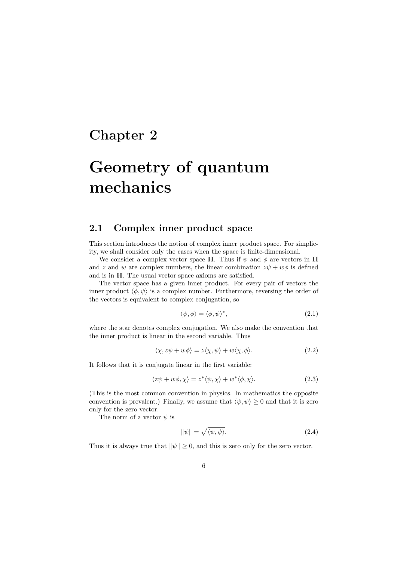### Chapter 2

# Geometry of quantum mechanics

### 2.1 Complex inner product space

This section introduces the notion of complex inner product space. For simplicity, we shall consider only the cases when the space is finite-dimensional.

We consider a complex vector space H. Thus if  $\psi$  and  $\phi$  are vectors in H and z and w are complex numbers, the linear combination  $z\psi + w\phi$  is defined and is in H. The usual vector space axioms are satisfied.

The vector space has a given inner product. For every pair of vectors the inner product  $\langle \phi, \psi \rangle$  is a complex number. Furthermore, reversing the order of the vectors is equivalent to complex conjugation, so

$$
\langle \psi, \phi \rangle = \langle \phi, \psi \rangle^*,\tag{2.1}
$$

where the star denotes complex conjugation. We also make the convention that the inner product is linear in the second variable. Thus

$$
\langle \chi, z\psi + w\phi \rangle = z\langle \chi, \psi \rangle + w\langle \chi, \phi \rangle. \tag{2.2}
$$

It follows that it is conjugate linear in the first variable:

$$
\langle z\psi + w\phi, \chi \rangle = z^* \langle \psi, \chi \rangle + w^* \langle \phi, \chi \rangle. \tag{2.3}
$$

(This is the most common convention in physics. In mathematics the opposite convention is prevalent.) Finally, we assume that  $\langle \psi, \psi \rangle \geq 0$  and that it is zero only for the zero vector.

The norm of a vector  $\psi$  is

$$
\|\psi\| = \sqrt{\langle \psi, \psi \rangle}.
$$
\n(2.4)

Thus it is always true that  $\|\psi\| \geq 0$ , and this is zero only for the zero vector.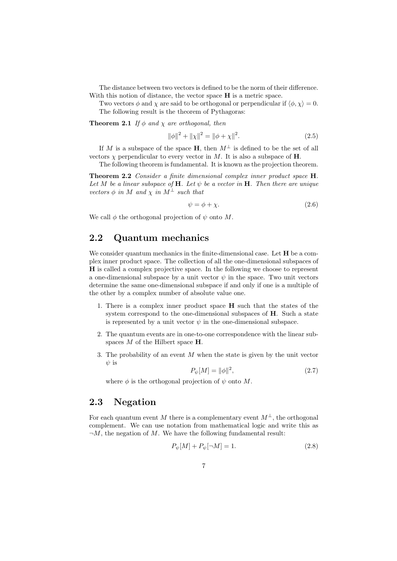The distance between two vectors is defined to be the norm of their difference. With this notion of distance, the vector space  $H$  is a metric space.

Two vectors  $\phi$  and  $\chi$  are said to be orthogonal or perpendicular if  $\langle \phi, \chi \rangle = 0$ . The following result is the theorem of Pythagoras:

**Theorem 2.1** If  $\phi$  and  $\chi$  are orthogonal, then

$$
\|\phi\|^2 + \|\chi\|^2 = \|\phi + \chi\|^2. \tag{2.5}
$$

If M is a subspace of the space H, then  $M^{\perp}$  is defined to be the set of all vectors  $\chi$  perpendicular to every vector in M. It is also a subspace of **H**.

The following theorem is fundamental. It is known as the projection theorem.

Theorem 2.2 Consider a finite dimensional complex inner product space H. Let M be a linear subspace of  $H$ . Let  $\psi$  be a vector in  $H$ . Then there are unique vectors  $\phi$  in M and  $\chi$  in  $M^{\perp}$  such that

$$
\psi = \phi + \chi. \tag{2.6}
$$

We call  $\phi$  the orthogonal projection of  $\psi$  onto M.

### 2.2 Quantum mechanics

We consider quantum mechanics in the finite-dimensional case. Let **H** be a complex inner product space. The collection of all the one-dimensional subspaces of H is called a complex projective space. In the following we choose to represent a one-dimensional subspace by a unit vector  $\psi$  in the space. Two unit vectors determine the same one-dimensional subspace if and only if one is a multiple of the other by a complex number of absolute value one.

- 1. There is a complex inner product space H such that the states of the system correspond to the one-dimensional subspaces of H. Such a state is represented by a unit vector  $\psi$  in the one-dimensional subspace.
- 2. The quantum events are in one-to-one correspondence with the linear subspaces M of the Hilbert space **H**.
- 3. The probability of an event M when the state is given by the unit vector  $\psi$  is

$$
P_{\psi}[M] = \|\phi\|^2, \tag{2.7}
$$

where  $\phi$  is the orthogonal projection of  $\psi$  onto M.

### 2.3 Negation

For each quantum event M there is a complementary event  $M^{\perp}$ , the orthogonal complement. We can use notation from mathematical logic and write this as  $\neg M$ , the negation of M. We have the following fundamental result:

$$
P_{\psi}[M] + P_{\psi}[\neg M] = 1. \tag{2.8}
$$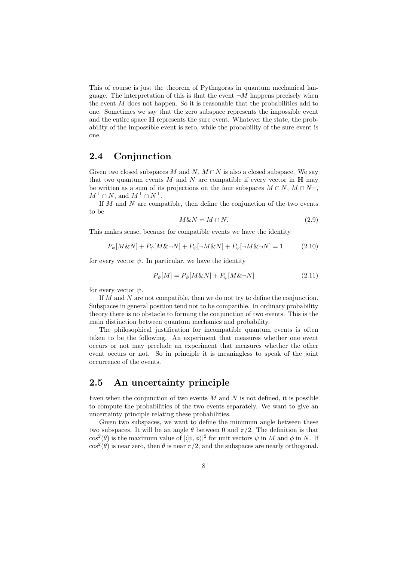This of course is just the theorem of Pythagoras in quantum mechanical language. The interpretation of this is that the event  $\neg M$  happens precisely when the event M does not happen. So it is reasonable that the probabilities add to one. Sometimes we say that the zero subspace represents the impossible event and the entire space H represents the sure event. Whatever the state, the probability of the impossible event is zero, while the probability of the sure event is one.

### 2.4 Conjunction

Given two closed subspaces M and N,  $M \cap N$  is also a closed subspace. We say that two quantum events  $M$  and  $N$  are compatible if every vector in  $H$  may be written as a sum of its projections on the four subspaces  $M \cap N$ ,  $M \cap N^{\perp}$ ,  $M^{\perp} \cap N$ , and  $M^{\perp} \cap N^{\perp}$ .

If  $M$  and  $N$  are compatible, then define the conjunction of the two events to be

$$
M\&N = M \cap N.\tag{2.9}
$$

This makes sense, because for compatible events we have the identity

$$
P_{\psi}[M\&N] + P_{\psi}[M\&\neg N] + P_{\psi}[\neg M\&N] + P_{\psi}[\neg M\&\neg N] = 1 \qquad (2.10)
$$

for every vector  $\psi$ . In particular, we have the identity

$$
P_{\psi}[M] = P_{\psi}[M\&N] + P_{\psi}[M\&\neg N] \tag{2.11}
$$

for every vector  $\psi$ .

If M and N are not compatible, then we do not try to define the conjunction. Subspaces in general position tend not to be compatible. In ordinary probability theory there is no obstacle to forming the conjunction of two events. This is the main distinction between quantum mechanics and probability.

The philosophical justification for incompatible quantum events is often taken to be the following. An experiment that measures whether one event occurs or not may preclude an experiment that measures whether the other event occurs or not. So in principle it is meaningless to speak of the joint occurrence of the events.

### 2.5 An uncertainty principle

Even when the conjunction of two events  $M$  and  $N$  is not defined, it is possible to compute the probabilities of the two events separately. We want to give an uncertainty principle relating these probabilities.

Given two subspaces, we want to define the minimum angle between these two subspaces. It will be an angle  $\theta$  between 0 and  $\pi/2$ . The definition is that  $\cos^2(\theta)$  is the maximum value of  $|\langle \psi, \phi \rangle|^2$  for unit vectors  $\psi$  in M and  $\phi$  in N. If  $\cos^2(\theta)$  is near zero, then  $\theta$  is near  $\pi/2$ , and the subspaces are nearly orthogonal.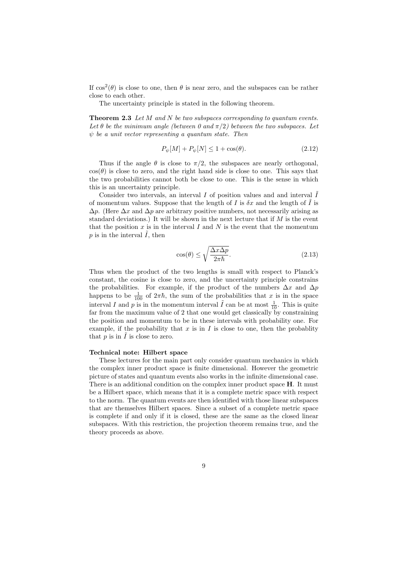If  $\cos^2(\theta)$  is close to one, then  $\theta$  is near zero, and the subspaces can be rather close to each other.

The uncertainty principle is stated in the following theorem.

**Theorem 2.3** Let  $M$  and  $N$  be two subspaces corresponding to quantum events. Let  $\theta$  be the minimum angle (between 0 and  $\pi/2$ ) between the two subspaces. Let  $\psi$  be a unit vector representing a quantum state. Then

$$
P_{\psi}[M] + P_{\psi}[N] \le 1 + \cos(\theta). \tag{2.12}
$$

Thus if the angle  $\theta$  is close to  $\pi/2$ , the subspaces are nearly orthogonal,  $cos(\theta)$  is close to zero, and the right hand side is close to one. This says that the two probabilities cannot both be close to one. This is the sense in which this is an uncertainty principle.

Consider two intervals, an interval  $I$  of position values and and interval  $\overline{I}$ of momentum values. Suppose that the length of I is  $\delta x$  and the length of  $\tilde{I}$  is  $\Delta p$ . (Here  $\Delta x$  and  $\Delta p$  are arbitrary positive numbers, not necessarily arising as standard deviations.) It will be shown in the next lecture that if M is the event that the position  $x$  is in the interval  $I$  and  $N$  is the event that the momentum  $p$  is in the interval  $I$ , then

$$
\cos(\theta) \le \sqrt{\frac{\Delta x \Delta p}{2\pi \hbar}}.\tag{2.13}
$$

Thus when the product of the two lengths is small with respect to Planck's constant, the cosine is close to zero, and the uncertainty principle constrains the probabilities. For example, if the product of the numbers  $\Delta x$  and  $\Delta p$ happens to be  $\frac{1}{100}$  of  $2\pi\hbar$ , the sum of the probabilities that x is in the space interval I and p is in the momentum interval  $\tilde{I}$  can be at most  $\frac{1}{10}$ . This is quite far from the maximum value of 2 that one would get classically by constraining the position and momentum to be in these intervals with probability one. For example, if the probability that  $x$  is in  $I$  is close to one, then the probability that  $p$  is in  $\tilde{I}$  is close to zero.

#### Technical note: Hilbert space

These lectures for the main part only consider quantum mechanics in which the complex inner product space is finite dimensional. However the geometric picture of states and quantum events also works in the infinite dimensional case. There is an additional condition on the complex inner product space **H**. It must be a Hilbert space, which means that it is a complete metric space with respect to the norm. The quantum events are then identified with those linear subspaces that are themselves Hilbert spaces. Since a subset of a complete metric space is complete if and only if it is closed, these are the same as the closed linear subspaces. With this restriction, the projection theorem remains true, and the theory proceeds as above.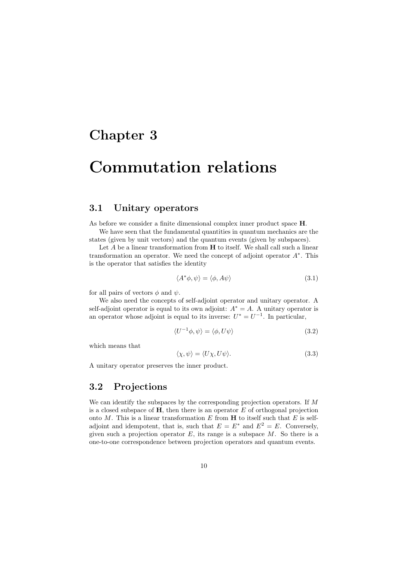### Chapter 3

## Commutation relations

### 3.1 Unitary operators

As before we consider a finite dimensional complex inner product space H.

We have seen that the fundamental quantities in quantum mechanics are the states (given by unit vectors) and the quantum events (given by subspaces).

Let  $A$  be a linear transformation from  $H$  to itself. We shall call such a linear transformation an operator. We need the concept of adjoint operator  $A^*$ . This is the operator that satisfies the identity

$$
\langle A^* \phi, \psi \rangle = \langle \phi, A\psi \rangle \tag{3.1}
$$

for all pairs of vectors  $\phi$  and  $\psi$ .

We also need the concepts of self-adjoint operator and unitary operator. A self-adjoint operator is equal to its own adjoint:  $A^* = A$ . A unitary operator is an operator whose adjoint is equal to its inverse:  $U^* = U^{-1}$ . In particular,

$$
\langle U^{-1}\phi, \psi \rangle = \langle \phi, U\psi \rangle \tag{3.2}
$$

which means that

$$
\langle \chi, \psi \rangle = \langle U \chi, U \psi \rangle. \tag{3.3}
$$

A unitary operator preserves the inner product.

#### 3.2 Projections

We can identify the subspaces by the corresponding projection operators. If M is a closed subspace of  $H$ , then there is an operator  $E$  of orthogonal projection onto  $M$ . This is a linear transformation  $E$  from  $H$  to itself such that  $E$  is selfadjoint and idempotent, that is, such that  $E = E^*$  and  $E^2 = E$ . Conversely, given such a projection operator  $E$ , its range is a subspace  $M$ . So there is a one-to-one correspondence between projection operators and quantum events.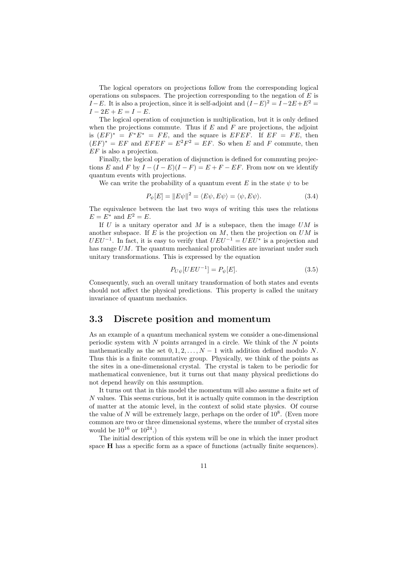The logical operators on projections follow from the corresponding logical operations on subspaces. The projection corresponding to the negation of  $E$  is I–E. It is also a projection, since it is self-adjoint and  $(I-E)^2 = I-2E+E^2 =$  $I - 2E + E = I - E.$ 

The logical operation of conjunction is multiplication, but it is only defined when the projections commute. Thus if  $E$  and  $F$  are projections, the adjoint is  $(EF)^* = F^*E^* = FE$ , and the square is  $EFEF$ . If  $EF = FE$ , then  $(EF)^* = EF$  and  $EFEF = E^2F^2 = EF$ . So when E and F commute, then EF is also a projection.

Finally, the logical operation of disjunction is defined for commuting projections E and F by  $I - (I - E)(I - F) = E + F - EF$ . From now on we identify quantum events with projections.

We can write the probability of a quantum event E in the state  $\psi$  to be

$$
P_{\psi}[E] = ||E\psi||^2 = \langle E\psi, E\psi \rangle = \langle \psi, E\psi \rangle. \tag{3.4}
$$

The equivalence between the last two ways of writing this uses the relations  $E = E^*$  and  $E^2 = E$ .

If  $U$  is a unitary operator and  $M$  is a subspace, then the image  $UM$  is another subspace. If  $E$  is the projection on  $M$ , then the projection on  $UM$  is  $UEU^{-1}$ . In fact, it is easy to verify that  $UEU^{-1} = UEU^*$  is a projection and has range  $UM$ . The quantum mechanical probabilities are invariant under such unitary transformations. This is expressed by the equation

$$
P_{U\psi}[UEU^{-1}] = P_{\psi}[E].
$$
\n(3.5)

Consequently, such an overall unitary transformation of both states and events should not affect the physical predictions. This property is called the unitary invariance of quantum mechanics.

### 3.3 Discrete position and momentum

As an example of a quantum mechanical system we consider a one-dimensional periodic system with  $N$  points arranged in a circle. We think of the  $N$  points mathematically as the set  $0, 1, 2, \ldots, N-1$  with addition defined modulo N. Thus this is a finite commutative group. Physically, we think of the points as the sites in a one-dimensional crystal. The crystal is taken to be periodic for mathematical convenience, but it turns out that many physical predictions do not depend heavily on this assumption.

It turns out that in this model the momentum will also assume a finite set of N values. This seems curious, but it is actually quite common in the description of matter at the atomic level, in the context of solid state physics. Of course the value of  $N$  will be extremely large, perhaps on the order of  $10^8$ . (Even more common are two or three dimensional systems, where the number of crystal sites would be  $10^{16}$  or  $10^{24}$ .)

The initial description of this system will be one in which the inner product space H has a specific form as a space of functions (actually finite sequences).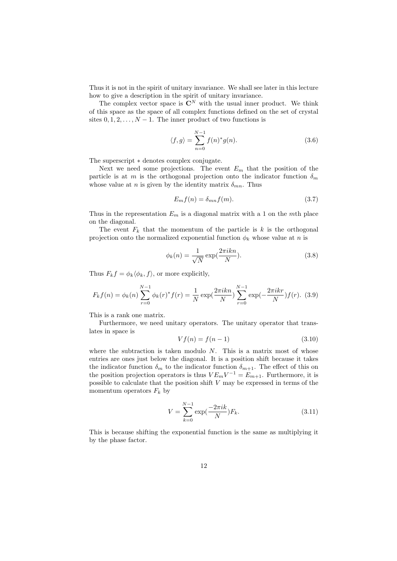Thus it is not in the spirit of unitary invariance. We shall see later in this lecture how to give a description in the spirit of unitary invariance.

The complex vector space is  $\mathbb{C}^N$  with the usual inner product. We think of this space as the space of all complex functions defined on the set of crystal sites  $0, 1, 2, \ldots, N - 1$ . The inner product of two functions is

$$
\langle f, g \rangle = \sum_{n=0}^{N-1} f(n)^* g(n). \tag{3.6}
$$

The superscript ∗ denotes complex conjugate.

Next we need some projections. The event  $E_m$  that the position of the particle is at m is the orthogonal projection onto the indicator function  $\delta_m$ whose value at n is given by the identity matrix  $\delta_{mn}$ . Thus

$$
E_m f(n) = \delta_{mn} f(m). \tag{3.7}
$$

Thus in the representation  $E_m$  is a diagonal matrix with a 1 on the mth place on the diagonal.

The event  $F_k$  that the momentum of the particle is k is the orthogonal projection onto the normalized exponential function  $\phi_k$  whose value at n is

$$
\phi_k(n) = \frac{1}{\sqrt{N}} \exp(\frac{2\pi i k n}{N}).
$$
\n(3.8)

Thus  $F_k f = \phi_k \langle \phi_k, f \rangle$ , or more explicitly,

$$
F_k f(n) = \phi_k(n) \sum_{r=0}^{N-1} \phi_k(r)^* f(r) = \frac{1}{N} \exp(\frac{2\pi i k n}{N}) \sum_{r=0}^{N-1} \exp(-\frac{2\pi i k r}{N}) f(r).
$$
 (3.9)

This is a rank one matrix.

Furthermore, we need unitary operators. The unitary operator that translates in space is

$$
Vf(n) = f(n-1) \tag{3.10}
$$

where the subtraction is taken modulo  $N$ . This is a matrix most of whose entries are ones just below the diagonal. It is a position shift because it takes the indicator function  $\delta_m$  to the indicator function  $\delta_{m+1}$ . The effect of this on the position projection operators is thus  $VE_mV^{-1} = E_{m+1}$ . Furthermore, it is possible to calculate that the position shift V may be expressed in terms of the momentum operators  $F_k$  by

$$
V = \sum_{k=0}^{N-1} \exp\left(\frac{-2\pi i k}{N}\right) F_k.
$$
 (3.11)

This is because shifting the exponential function is the same as multiplying it by the phase factor.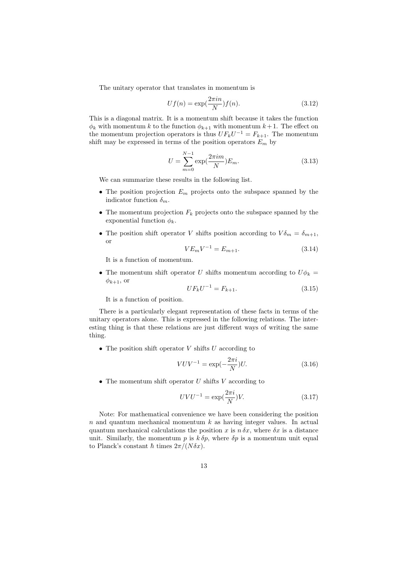The unitary operator that translates in momentum is

$$
Uf(n) = \exp(\frac{2\pi i n}{N})f(n). \tag{3.12}
$$

This is a diagonal matrix. It is a momentum shift because it takes the function  $\phi_k$  with momentum k to the function  $\phi_{k+1}$  with momentum  $k+1$ . The effect on the momentum projection operators is thus  $UF_kU^{-1} = F_{k+1}$ . The momentum shift may be expressed in terms of the position operators  $E_m$  by

$$
U = \sum_{m=0}^{N-1} \exp(\frac{2\pi im}{N}) E_m.
$$
 (3.13)

We can summarize these results in the following list.

- The position projection  $E_m$  projects onto the subspace spanned by the indicator function  $\delta_m$ .
- The momentum projection  $F_k$  projects onto the subspace spanned by the exponential function  $\phi_k$ .
- The position shift operator V shifts position according to  $V \delta_m = \delta_{m+1}$ , or

$$
VE_mV^{-1} = E_{m+1}.
$$
\n(3.14)

It is a function of momentum.

• The momentum shift operator U shifts momentum according to  $U\phi_k =$  $\phi_{k+1}$ , or

$$
UF_kU^{-1} = F_{k+1}.
$$
\n(3.15)

It is a function of position.

There is a particularly elegant representation of these facts in terms of the unitary operators alone. This is expressed in the following relations. The interesting thing is that these relations are just different ways of writing the same thing.

• The position shift operator  $V$  shifts  $U$  according to

$$
VUV^{-1} = \exp(-\frac{2\pi i}{N})U.
$$
 (3.16)

• The momentum shift operator  $U$  shifts  $V$  according to

$$
UVU^{-1} = \exp\left(\frac{2\pi i}{N}\right)V.\tag{3.17}
$$

Note: For mathematical convenience we have been considering the position  $n$  and quantum mechanical momentum  $k$  as having integer values. In actual quantum mechanical calculations the position x is  $n \delta x$ , where  $\delta x$  is a distance unit. Similarly, the momentum p is  $k \delta p$ , where  $\delta p$  is a momentum unit equal to Planck's constant  $\hbar$  times  $2\pi/(N\delta x)$ .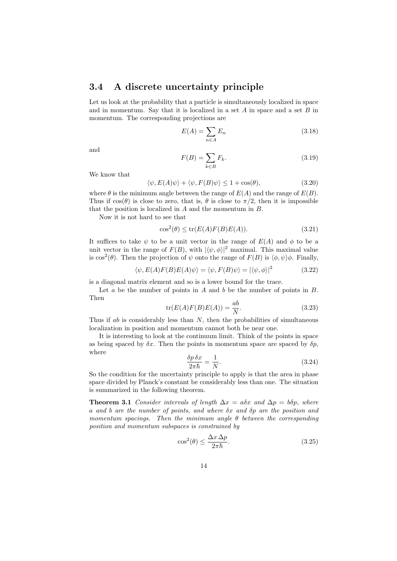#### 3.4 A discrete uncertainty principle

Let us look at the probability that a particle is simultaneously localized in space and in momentum. Say that it is localized in a set  $A$  in space and a set  $B$  in momentum. The corresponding projections are

$$
E(A) = \sum_{n \in A} E_n \tag{3.18}
$$

and

$$
F(B) = \sum_{k \in B} F_k. \tag{3.19}
$$

We know that

$$
\langle \psi, E(A)\psi \rangle + \langle \psi, F(B)\psi \rangle \le 1 + \cos(\theta), \tag{3.20}
$$

where  $\theta$  is the minimum angle between the range of  $E(A)$  and the range of  $E(B)$ . Thus if  $cos(\theta)$  is close to zero, that is,  $\theta$  is close to  $\pi/2$ , then it is impossible that the position is localized in A and the momentum in B.

Now it is not hard to see that

$$
\cos^2(\theta) \le \text{tr}(E(A)F(B)E(A)).\tag{3.21}
$$

It suffices to take  $\psi$  to be a unit vector in the range of  $E(A)$  and  $\phi$  to be a unit vector in the range of  $F(B)$ , with  $|\langle \psi, \phi \rangle|^2$  maximal. This maximal value is  $\cos^2(\theta)$ . Then the projection of  $\psi$  onto the range of  $F(B)$  is  $\langle \phi, \psi \rangle \phi$ . Finally,

$$
\langle \psi, E(A)F(B)E(A)\psi \rangle = \langle \psi, F(B)\psi \rangle = |\langle \psi, \phi \rangle|^2 \tag{3.22}
$$

is a diagonal matrix element and so is a lower bound for the trace.

Let  $a$  be the number of points in  $A$  and  $b$  be the number of points in  $B$ . Then

$$
\operatorname{tr}(E(A)F(B)E(A)) = \frac{ab}{N}.\tag{3.23}
$$

Thus if  $ab$  is considerably less than  $N$ , then the probabilities of simultaneous localization in position and momentum cannot both be near one.

It is interesting to look at the continuum limit. Think of the points in space as being spaced by  $\delta x$ . Then the points in momentum space are spaced by  $\delta p$ , where

$$
\frac{\delta p \,\delta x}{2\pi\hbar} = \frac{1}{N}.\tag{3.24}
$$

So the condition for the uncertainty principle to apply is that the area in phase space divided by Planck's constant be considerably less than one. The situation is summarized in the following theorem.

**Theorem 3.1** Consider intervals of length  $\Delta x = a\delta x$  and  $\Delta p = b\delta p$ , where a and b are the number of points, and where δx and δp are the position and momentum spacings. Then the minimum angle  $\theta$  between the corresponding position and momentum subspaces is constrained by

$$
\cos^2(\theta) \le \frac{\Delta x \, \Delta p}{2\pi\hbar}.\tag{3.25}
$$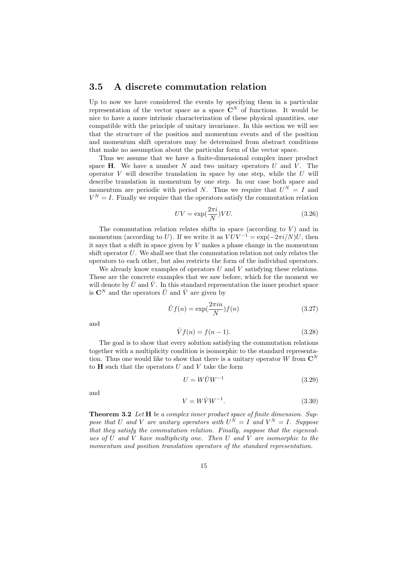### 3.5 A discrete commutation relation

Up to now we have considered the events by specifying them in a particular representation of the vector space as a space  $\mathbb{C}^N$  of functions. It would be nice to have a more intrinsic characterization of these physical quantities, one compatible with the principle of unitary invariance. In this section we will see that the structure of the position and momentum events and of the position and momentum shift operators may be determined from abstract conditions that make no assumption about the particular form of the vector space.

Thus we assume that we have a finite-dimensional complex inner product space  $H$ . We have a number N and two unitary operators U and V. The operator V will describe translation in space by one step, while the  $U$  will describe translation in momentum by one step. In our case both space and momentum are periodic with period N. Thus we require that  $U^N = I$  and  $V^N = I$ . Finally we require that the operators satisfy the commutation relation

$$
UV = \exp(\frac{2\pi i}{N})VU.
$$
\n(3.26)

The commutation relation relates shifts in space (according to  $V$ ) and in momentum (according to U). If we write it as  $VUV^{-1} = \exp(-2\pi i/N)U$ , then it says that a shift in space given by  $V$  makes a phase change in the momentum shift operator  $U$ . We shall see that the commutation relation not only relates the operators to each other, but also restricts the form of the individual operators.

We already know examples of operators  $U$  and  $V$  satisfying these relations. These are the concrete examples that we saw before, which for the moment we will denote by  $\hat{U}$  and  $\hat{V}$ . In this standard representation the inner product space is  $\mathbf{C}^N$  and the operators  $\hat{U}$  and  $\hat{V}$  are given by

$$
\hat{U}f(n) = \exp(\frac{2\pi in}{N})f(n) \tag{3.27}
$$

and

$$
\hat{V}f(n) = f(n-1). \tag{3.28}
$$

The goal is to show that every solution satisfying the commutation relations together with a multiplicity condition is isomorphic to the standard representation. Thus one would like to show that there is a unitary operator W from  $\mathbb{C}^N$ to  $H$  such that the operators  $U$  and  $V$  take the form

$$
U = W\hat{U}W^{-1} \tag{3.29}
$$

and

$$
V = W\hat{V}W^{-1}.\tag{3.30}
$$

Theorem 3.2 Let H be a complex inner product space of finite dimension. Suppose that U and V are unitary operators with  $U^N = I$  and  $V^N = I$ . Suppose that they satisfy the commutation relation. Finally, suppose that the eigenvalues of  $U$  and  $V$  have multiplicity one. Then  $U$  and  $V$  are isomorphic to the momentum and position translation operators of the standard representation.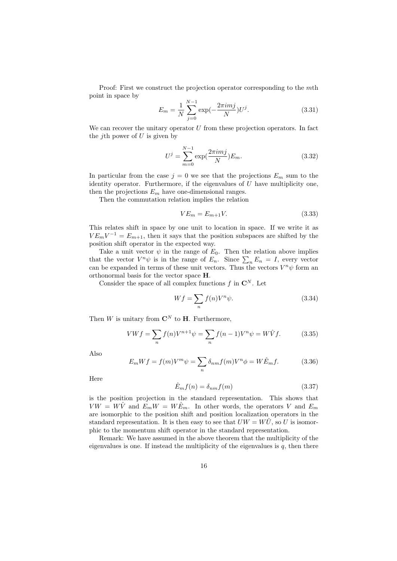Proof: First we construct the projection operator corresponding to the mth point in space by

$$
E_m = \frac{1}{N} \sum_{j=0}^{N-1} \exp(-\frac{2\pi imj}{N}) U^j.
$$
 (3.31)

We can recover the unitary operator  $U$  from these projection operators. In fact the *j*th power of  $U$  is given by

$$
U^{j} = \sum_{m=0}^{N-1} \exp(\frac{2\pi imj}{N}) E_m.
$$
 (3.32)

In particular from the case  $j = 0$  we see that the projections  $E_m$  sum to the identity operator. Furthermore, if the eigenvalues of  $U$  have multiplicity one. then the projections  $E_m$  have one-dimensional ranges.

Then the commutation relation implies the relation

$$
VE_m = E_{m+1}V.\tag{3.33}
$$

This relates shift in space by one unit to location in space. If we write it as  $VE_mV^{-1} = E_{m+1}$ , then it says that the position subspaces are shifted by the position shift operator in the expected way.

Take a unit vector  $\psi$  in the range of  $E_0$ . Then the relation above implies that the vector  $V^n \psi$  is in the range of  $E_n$ . Since  $\sum_n E_n = I$ , every vector can be expanded in terms of these unit vectors. Thus the vectors  $V^n\psi$  form an orthonormal basis for the vector space H.

Consider the space of all complex functions  $f$  in  $\mathbb{C}^N$ . Let

$$
Wf = \sum_{n} f(n)V^{n}\psi.
$$
\n(3.34)

Then W is unitary from  $\mathbb{C}^N$  to **H**. Furthermore,

$$
VWf = \sum_{n} f(n)V^{n+1}\psi = \sum_{n} f(n-1)V^{n}\psi = W\hat{V}f.
$$
 (3.35)

Also

$$
E_m W f = f(m) V^m \psi = \sum_n \delta_{nm} f(m) V^n \phi = W \hat{E}_m f. \tag{3.36}
$$

Here

$$
\hat{E}_m f(n) = \delta_{nm} f(m) \tag{3.37}
$$

is the position projection in the standard representation. This shows that  $V W = W \hat{V}$  and  $E_m W = W \hat{E}_m$ . In other words, the operators V and  $E_m$ are isomorphic to the position shift and position localization operators in the standard representation. It is then easy to see that  $UW = W\dot{U}$ , so U is isomorphic to the momentum shift operator in the standard representation.

Remark: We have assumed in the above theorem that the multiplicity of the eigenvalues is one. If instead the multiplicity of the eigenvalues is  $q$ , then there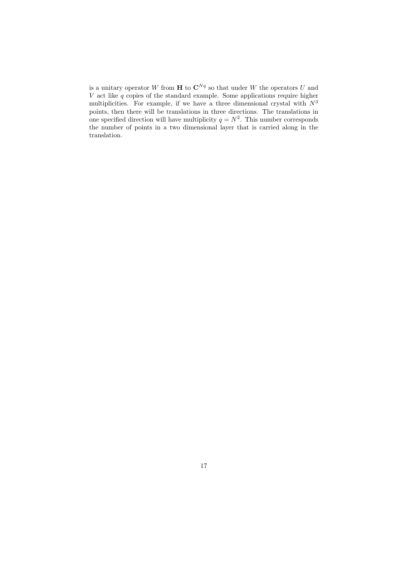is a unitary operator W from **H** to  $\mathbb{C}^{Nq}$  so that under W the operators U and V act like  $q$  copies of the standard example. Some applications require higher multiplicities. For example, if we have a three dimensional crystal with  $N^3$ points, then there will be translations in three directions. The translations in one specified direction will have multiplicity  $q = N^2$ . This number corresponds the number of points in a two dimensional layer that is carried along in the translation.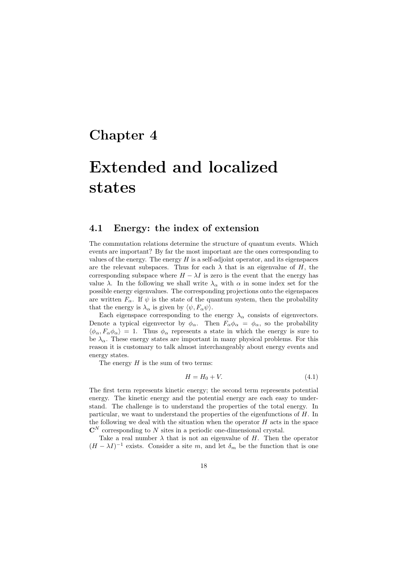### Chapter 4

# Extended and localized states

### 4.1 Energy: the index of extension

The commutation relations determine the structure of quantum events. Which events are important? By far the most important are the ones corresponding to values of the energy. The energy  $H$  is a self-adjoint operator, and its eigenspaces are the relevant subspaces. Thus for each  $\lambda$  that is an eigenvalue of H, the corresponding subspace where  $H - \lambda I$  is zero is the event that the energy has value  $\lambda$ . In the following we shall write  $\lambda_{\alpha}$  with  $\alpha$  in some index set for the possible energy eigenvalues. The corresponding projections onto the eigenspaces are written  $F_{\alpha}$ . If  $\psi$  is the state of the quantum system, then the probability that the energy is  $\lambda_{\alpha}$  is given by  $\langle \psi, F_{\alpha} \psi \rangle$ .

Each eigenspace corresponding to the energy  $\lambda_{\alpha}$  consists of eigenvectors. Denote a typical eigenvector by  $\phi_{\alpha}$ . Then  $F_{\alpha}\phi_{\alpha} = \phi_{\alpha}$ , so the probability  $\langle \phi_\alpha, F_\alpha \phi_\alpha \rangle = 1$ . Thus  $\phi_\alpha$  represents a state in which the energy is sure to be  $\lambda_{\alpha}$ . These energy states are important in many physical problems. For this reason it is customary to talk almost interchangeably about energy events and energy states.

The energy  $H$  is the sum of two terms:

$$
H = H_0 + V.\t\t(4.1)
$$

The first term represents kinetic energy; the second term represents potential energy. The kinetic energy and the potential energy are each easy to understand. The challenge is to understand the properties of the total energy. In particular, we want to understand the properties of the eigenfunctions of H. In the following we deal with the situation when the operator  $H$  acts in the space  $\mathbb{C}^N$  corresponding to N sites in a periodic one-dimensional crystal.

Take a real number  $\lambda$  that is not an eigenvalue of H. Then the operator  $(H - \lambda I)^{-1}$  exists. Consider a site m, and let  $\delta_m$  be the function that is one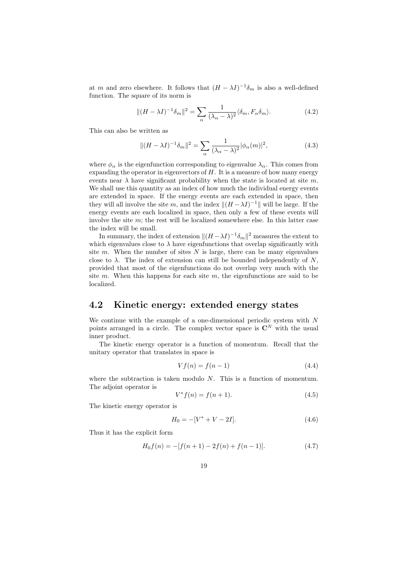at m and zero elsewhere. It follows that  $(H - \lambda I)^{-1} \delta_m$  is also a well-defined function. The square of its norm is

$$
||(H - \lambda I)^{-1}\delta_m||^2 = \sum_{\alpha} \frac{1}{(\lambda_{\alpha} - \lambda)^2} \langle \delta_m, F_{\alpha} \delta_m \rangle.
$$
 (4.2)

This can also be written as

$$
||(H - \lambda I)^{-1} \delta_m||^2 = \sum_{\alpha} \frac{1}{(\lambda_{\alpha} - \lambda)^2} |\phi_{\alpha}(m)|^2,
$$
 (4.3)

where  $\phi_{\alpha}$  is the eigenfunction corresponding to eigenvalue  $\lambda_{\alpha}$ . This comes from expanding the operator in eigenvectors of  $H$ . It is a measure of how many energy events near  $\lambda$  have significant probability when the state is located at site m. We shall use this quantity as an index of how much the individual energy events are extended in space. If the energy events are each extended in space, then they will all involve the site m, and the index  $||(H - \lambda I)^{-1}||$  will be large. If the energy events are each localized in space, then only a few of these events will involve the site  $m$ ; the rest will be localized somewhere else. In this latter case the index will be small.

In summary, the index of extension  $\|(H - \lambda I)^{-1} \delta_m\|^2$  measures the extent to which eigenvalues close to  $\lambda$  have eigenfunctions that overlap significantly with site m. When the number of sites  $N$  is large, there can be many eigenvalues close to  $\lambda$ . The index of extension can still be bounded independently of N, provided that most of the eigenfunctions do not overlap very much with the site m. When this happens for each site m, the eigenfunctions are said to be localized.

### 4.2 Kinetic energy: extended energy states

We continue with the example of a one-dimensional periodic system with N points arranged in a circle. The complex vector space is  $\mathbb{C}^N$  with the usual inner product.

The kinetic energy operator is a function of momentum. Recall that the unitary operator that translates in space is

$$
Vf(n) = f(n-1) \tag{4.4}
$$

where the subtraction is taken modulo  $N$ . This is a function of momentum. The adjoint operator is

$$
V^*f(n) = f(n+1).
$$
 (4.5)

The kinetic energy operator is

$$
H_0 = -[V^* + V - 2I].
$$
\n(4.6)

Thus it has the explicit form

$$
H_0 f(n) = -[f(n+1) - 2f(n) + f(n-1)].
$$
\n(4.7)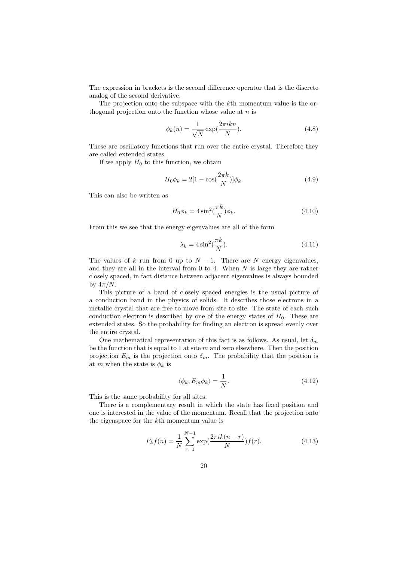The expression in brackets is the second difference operator that is the discrete analog of the second derivative.

The projection onto the subspace with the kth momentum value is the orthogonal projection onto the function whose value at  $n$  is

$$
\phi_k(n) = \frac{1}{\sqrt{N}} \exp(\frac{2\pi i k n}{N}).\tag{4.8}
$$

These are oscillatory functions that run over the entire crystal. Therefore they are called extended states.

If we apply  $H_0$  to this function, we obtain

$$
H_0 \phi_k = 2[1 - \cos(\frac{2\pi k}{N})] \phi_k.
$$
 (4.9)

This can also be written as

$$
H_0 \phi_k = 4 \sin^2(\frac{\pi k}{N}) \phi_k.
$$
\n(4.10)

From this we see that the energy eigenvalues are all of the form

$$
\lambda_k = 4\sin^2(\frac{\pi k}{N}).\tag{4.11}
$$

The values of k run from 0 up to  $N-1$ . There are N energy eigenvalues, and they are all in the interval from  $0$  to 4. When  $N$  is large they are rather closely spaced, in fact distance between adjacent eigenvalues is always bounded by  $4\pi/N$ .

This picture of a band of closely spaced energies is the usual picture of a conduction band in the physics of solids. It describes those electrons in a metallic crystal that are free to move from site to site. The state of each such conduction electron is described by one of the energy states of  $H_0$ . These are extended states. So the probability for finding an electron is spread evenly over the entire crystal.

One mathematical representation of this fact is as follows. As usual, let  $\delta_m$ be the function that is equal to 1 at site  $m$  and zero elsewhere. Then the position projection  $E_m$  is the projection onto  $\delta_m$ . The probability that the position is at m when the state is  $\phi_k$  is

$$
\langle \phi_k, E_m \phi_k \rangle = \frac{1}{N}.\tag{4.12}
$$

This is the same probability for all sites.

There is a complementary result in which the state has fixed position and one is interested in the value of the momentum. Recall that the projection onto the eigenspace for the kth momentum value is

$$
F_k f(n) = \frac{1}{N} \sum_{r=1}^{N-1} \exp(\frac{2\pi i k(n-r)}{N}) f(r).
$$
 (4.13)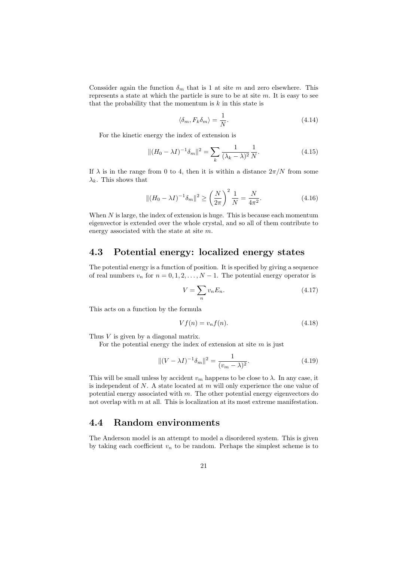Conssider again the function  $\delta_m$  that is 1 at site m and zero elsewhere. This represents a state at which the particle is sure to be at site  $m$ . It is easy to see that the probability that the momentum is  $k$  in this state is

$$
\langle \delta_m, F_k \delta_m \rangle = \frac{1}{N}.\tag{4.14}
$$

For the kinetic energy the index of extension is

$$
||(H_0 - \lambda I)^{-1} \delta_m||^2 = \sum_k \frac{1}{(\lambda_k - \lambda)^2} \frac{1}{N}.
$$
 (4.15)

If  $\lambda$  is in the range from 0 to 4, then it is within a distance  $2\pi/N$  from some  $\lambda_k$ . This shows that

$$
||(H_0 - \lambda I)^{-1} \delta_m||^2 \ge \left(\frac{N}{2\pi}\right)^2 \frac{1}{N} = \frac{N}{4\pi^2}.
$$
 (4.16)

When  $N$  is large, the index of extension is huge. This is because each momentum eigenvector is extended over the whole crystal, and so all of them contribute to energy associated with the state at site m.

### 4.3 Potential energy: localized energy states

The potential energy is a function of position. It is specified by giving a sequence of real numbers  $v_n$  for  $n = 0, 1, 2, ..., N - 1$ . The potential energy operator is

$$
V = \sum_{n} v_n E_n. \tag{4.17}
$$

This acts on a function by the formula

$$
Vf(n) = v_n f(n). \tag{4.18}
$$

Thus V is given by a diagonal matrix.

For the potential energy the index of extension at site  $m$  is just

$$
\|(V - \lambda I)^{-1} \delta_m\|^2 = \frac{1}{(v_m - \lambda)^2}.
$$
\n(4.19)

This will be small unless by accident  $v_m$  happens to be close to  $\lambda$ . In any case, it is independent of  $N$ . A state located at  $m$  will only experience the one value of potential energy associated with  $m$ . The other potential energy eigenvectors do not overlap with m at all. This is localization at its most extreme manifestation.

### 4.4 Random environments

The Anderson model is an attempt to model a disordered system. This is given by taking each coefficient  $v_n$  to be random. Perhaps the simplest scheme is to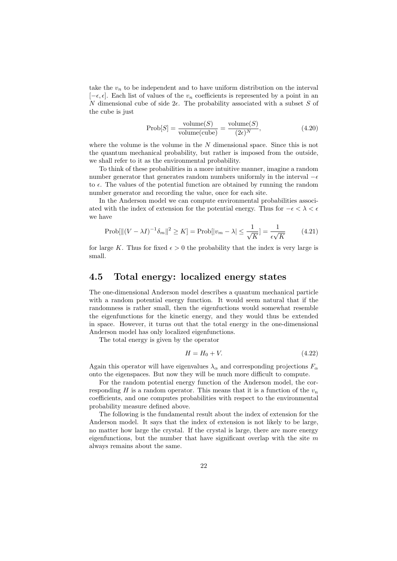take the  $v_n$  to be independent and to have uniform distribution on the interval  $[-\epsilon, \epsilon]$ . Each list of values of the  $v_n$  coefficients is represented by a point in an N dimensional cube of side  $2\epsilon$ . The probability associated with a subset S of the cube is just

$$
Prob[S] = \frac{\text{volume}(S)}{\text{volume}(\text{cube})} = \frac{\text{volume}(S)}{(2\epsilon)^N},\tag{4.20}
$$

where the volume is the volume in the  $N$  dimensional space. Since this is not the quantum mechanical probability, but rather is imposed from the outside, we shall refer to it as the environmental probability.

To think of these probabilities in a more intuitive manner, imagine a random number generator that generates random numbers uniformly in the interval  $-\epsilon$ to  $\epsilon$ . The values of the potential function are obtained by running the random number generator and recording the value, once for each site.

In the Anderson model we can compute environmental probabilities associated with the index of extension for the potential energy. Thus for  $-\epsilon < \lambda < \epsilon$ we have

$$
\text{Prob}[\|(V - \lambda I)^{-1} \delta_m\|^2 \ge K] = \text{Prob}[|v_m - \lambda| \le \frac{1}{\sqrt{K}}] = \frac{1}{\epsilon \sqrt{K}} \tag{4.21}
$$

for large K. Thus for fixed  $\epsilon > 0$  the probability that the index is very large is small.

### 4.5 Total energy: localized energy states

The one-dimensional Anderson model describes a quantum mechanical particle with a random potential energy function. It would seem natural that if the randomness is rather small, then the eigenfuctions would somewhat resemble the eigenfunctions for the kinetic energy, and they would thus be extended in space. However, it turns out that the total energy in the one-dimensional Anderson model has only localized eigenfunctions.

The total energy is given by the operator

$$
H = H_0 + V.\t\t(4.22)
$$

Again this operator will have eigenvalues  $\lambda_{\alpha}$  and corresponding projections  $F_{\alpha}$ onto the eigenspaces. But now they will be much more difficult to compute.

For the random potential energy function of the Anderson model, the corresponding H is a random operator. This means that it is a function of the  $v_n$ coefficients, and one computes probabilities with respect to the environmental probability measure defined above.

The following is the fundamental result about the index of extension for the Anderson model. It says that the index of extension is not likely to be large, no matter how large the crystal. If the crystal is large, there are more energy eigenfunctions, but the number that have significant overlap with the site  $m$ always remains about the same.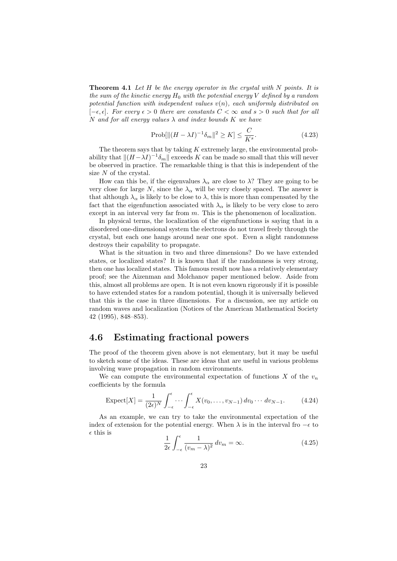**Theorem 4.1** Let  $H$  be the energy operator in the crystal with  $N$  points. It is the sum of the kinetic energy  $H_0$  with the potential energy V defined by a random potential function with independent values  $v(n)$ , each uniformly distributed on  $[-\epsilon, \epsilon]$ . For every  $\epsilon > 0$  there are constants  $C < \infty$  and  $s > 0$  such that for all N and for all energy values  $\lambda$  and index bounds K we have

$$
\text{Prob}[\|(H - \lambda I)^{-1} \delta_m\|^2 \ge K] \le \frac{C}{K^s}.\tag{4.23}
$$

The theorem says that by taking  $K$  extremely large, the environmental probability that  $\|(H - \lambda I)^{-1}\delta_m\|$  exceeds K can be made so small that this will never be observed in practice. The remarkable thing is that this is independent of the size N of the crystal.

How can this be, if the eigenvalues  $\lambda_{\alpha}$  are close to  $\lambda$ ? They are going to be very close for large N, since the  $\lambda_{\alpha}$  will be very closely spaced. The answer is that although  $\lambda_{\alpha}$  is likely to be close to  $\lambda$ , this is more than compensated by the fact that the eigenfunction associated with  $\lambda_{\alpha}$  is likely to be very close to zero except in an interval very far from  $m$ . This is the phenomenon of localization.

In physical terms, the localization of the eigenfunctions is saying that in a disordered one-dimensional system the electrons do not travel freely through the crystal, but each one hangs around near one spot. Even a slight randomness destroys their capability to propagate.

What is the situation in two and three dimensions? Do we have extended states, or localized states? It is known that if the randomness is very strong, then one has localized states. This famous result now has a relatively elementary proof; see the Aizenman and Molchanov paper mentioned below. Aside from this, almost all problems are open. It is not even known rigorously if it is possible to have extended states for a random potential, though it is universally believed that this is the case in three dimensions. For a discussion, see my article on random waves and localization (Notices of the American Mathematical Society 42 (1995), 848–853).

### 4.6 Estimating fractional powers

The proof of the theorem given above is not elementary, but it may be useful to sketch some of the ideas. These are ideas that are useful in various problems involving wave propagation in random environments.

We can compute the environmental expectation of functions X of the  $v_n$ coefficients by the formula

$$
\text{Expected}[X] = \frac{1}{(2\epsilon)^N} \int_{-\epsilon}^{\epsilon} \cdots \int_{-\epsilon}^{\epsilon} X(v_0, \dots, v_{N-1}) \, dv_0 \cdots \, dv_{N-1}.
$$
 (4.24)

As an example, we can try to take the environmental expectation of the index of extension for the potential energy. When  $\lambda$  is in the interval fro  $-\epsilon$  to  $\epsilon$  this is

$$
\frac{1}{2\epsilon} \int_{-\epsilon}^{\epsilon} \frac{1}{(v_m - \lambda)^2} \, dv_m = \infty. \tag{4.25}
$$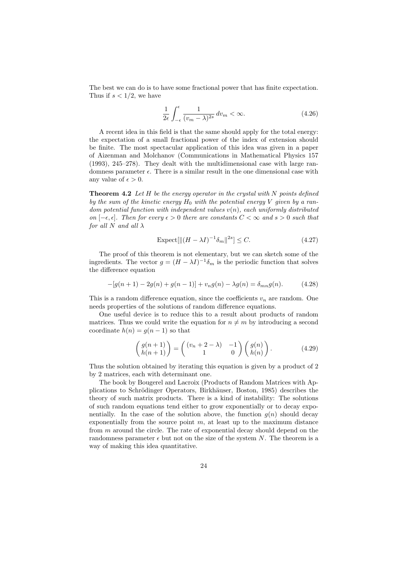The best we can do is to have some fractional power that has finite expectation. Thus if  $s < 1/2$ , we have

$$
\frac{1}{2\epsilon} \int_{-\epsilon}^{\epsilon} \frac{1}{(v_m - \lambda)^{2s}} \, dv_m < \infty. \tag{4.26}
$$

A recent idea in this field is that the same should apply for the total energy: the expectation of a small fractional power of the index of extension should be finite. The most spectacular application of this idea was given in a paper of Aizenman and Molchanov (Communications in Mathematical Physics 157 (1993), 245–278). They dealt with the multidimensional case with large randomness parameter  $\epsilon$ . There is a similar result in the one dimensional case with any value of  $\epsilon > 0$ .

**Theorem 4.2** Let  $H$  be the energy operator in the crystal with  $N$  points defined by the sum of the kinetic energy  $H_0$  with the potential energy V given by a random potential function with independent values  $v(n)$ , each uniformly distributed on  $[-\epsilon, \epsilon]$ . Then for every  $\epsilon > 0$  there are constants  $C < \infty$  and  $s > 0$  such that for all N and all  $\lambda$ 

$$
\text{Expected}[\|(H - \lambda I)^{-1} \delta_m\|^{2s}] \le C. \tag{4.27}
$$

The proof of this theorem is not elementary, but we can sketch some of the ingredients. The vector  $g = (H - \lambda I)^{-1} \delta_m$  is the periodic function that solves the difference equation

$$
-[g(n+1)-2g(n)+g(n-1)]+v_ng(n)-\lambda g(n)=\delta_{mn}g(n). \hspace{1cm} (4.28)
$$

This is a random difference equation, since the coefficients  $v_n$  are random. One needs properties of the solutions of random difference equations.

One useful device is to reduce this to a result about products of random matrices. Thus we could write the equation for  $n \neq m$  by introducing a second coordinate  $h(n) = g(n-1)$  so that

$$
\begin{pmatrix} g(n+1) \\ h(n+1) \end{pmatrix} = \begin{pmatrix} (v_n + 2 - \lambda) & -1 \\ 1 & 0 \end{pmatrix} \begin{pmatrix} g(n) \\ h(n) \end{pmatrix}.
$$
 (4.29)

Thus the solution obtained by iterating this equation is given by a product of 2 by 2 matrices, each with determinant one.

The book by Bougerel and Lacroix (Products of Random Matrices with Applications to Schrödinger Operators, Birkhäuser, Boston, 1985) describes the theory of such matrix products. There is a kind of instability: The solutions of such random equations tend either to grow exponentially or to decay exponentially. In the case of the solution above, the function  $q(n)$  should decay exponentially from the source point  $m$ , at least up to the maximum distance from m around the circle. The rate of exponential decay should depend on the randomness parameter  $\epsilon$  but not on the size of the system N. The theorem is a way of making this idea quantitative.